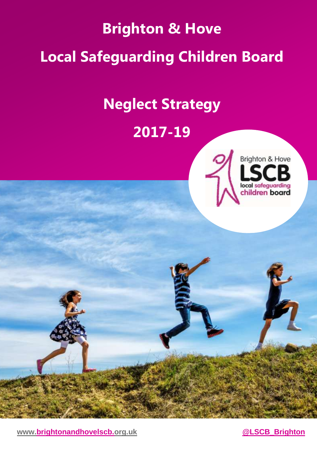# **Brighton & Hove Local Safeguarding Children Board**

# **Neglect Strategy**

## **2017-19**





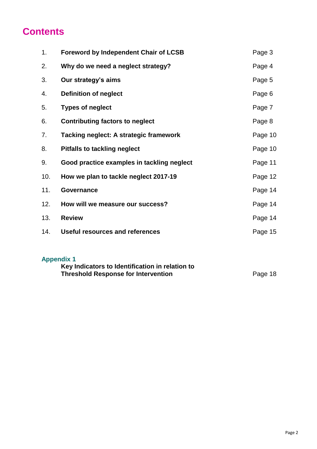#### **Contents**

| 1 <sub>1</sub> | <b>Foreword by Independent Chair of LCSB</b>  | Page 3  |
|----------------|-----------------------------------------------|---------|
| 2.             | Why do we need a neglect strategy?            | Page 4  |
| 3.             | Our strategy's aims                           | Page 5  |
| 4.             | <b>Definition of neglect</b>                  | Page 6  |
| 5.             | <b>Types of neglect</b>                       | Page 7  |
| 6.             | <b>Contributing factors to neglect</b>        | Page 8  |
| 7.             | <b>Tacking neglect: A strategic framework</b> | Page 10 |
| 8.             | <b>Pitfalls to tackling neglect</b>           | Page 10 |
| 9.             | Good practice examples in tackling neglect    | Page 11 |
| 10.            | How we plan to tackle neglect 2017-19         | Page 12 |
| 11.            | Governance                                    | Page 14 |
| 12.            | How will we measure our success?              | Page 14 |
| 13.            | <b>Review</b>                                 | Page 14 |
| 14.            | Useful resources and references               | Page 15 |
|                |                                               |         |

#### **Appendix 1**

| Key Indicators to Identification in relation to |         |
|-------------------------------------------------|---------|
| <b>Threshold Response for Intervention</b>      | Page 18 |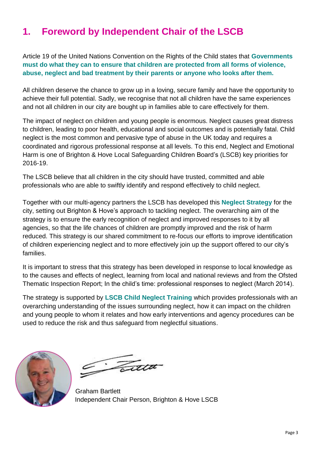### **1. Foreword by Independent Chair of the LSCB**

Article 19 of the United Nations Convention on the Rights of the Child states that **Governments must do what they can to ensure that children are protected from all forms of violence, abuse, neglect and bad treatment by their parents or anyone who looks after them.**

All children deserve the chance to grow up in a loving, secure family and have the opportunity to achieve their full potential. Sadly, we recognise that not all children have the same experiences and not all children in our city are bought up in families able to care effectively for them.

The impact of neglect on children and young people is enormous. Neglect causes great distress to children, leading to poor health, educational and social outcomes and is potentially fatal. Child neglect is the most common and pervasive type of abuse in the UK today and requires a coordinated and rigorous professional response at all levels. To this end, Neglect and Emotional Harm is one of Brighton & Hove Local Safeguarding Children Board's (LSCB) key priorities for 2016-19.

The LSCB believe that all children in the city should have trusted, committed and able professionals who are able to swiftly identify and respond effectively to child neglect.

Together with our multi-agency partners the LSCB has developed this **Neglect Strategy** for the city, setting out Brighton & Hove's approach to tackling neglect. The overarching aim of the strategy is to ensure the early recognition of neglect and improved responses to it by all agencies, so that the life chances of children are promptly improved and the risk of harm reduced. This strategy is our shared commitment to re-focus our efforts to improve identification of children experiencing neglect and to more effectively join up the support offered to our city's families.

It is important to stress that this strategy has been developed in response to local knowledge as to the causes and effects of neglect, learning from local and national reviews and from the Ofsted Thematic Inspection Report; In the child's time: professional responses to neglect (March 2014).

The strategy is supported by **LSCB Child Neglect Training** which provides professionals with an overarching understanding of the issues surrounding neglect, how it can impact on the children and young people to whom it relates and how early interventions and agency procedures can be used to reduce the risk and thus safeguard from neglectful situations.



Fatt

Graham Bartlett Independent Chair Person, Brighton & Hove LSCB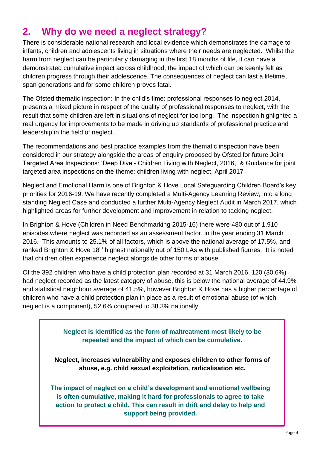#### **2. Why do we need a neglect strategy?**

There is considerable national research and local evidence which demonstrates the damage to infants, children and adolescents living in situations where their needs are neglected. Whilst the harm from neglect can be particularly damaging in the first 18 months of life, it can have a demonstrated cumulative impact across childhood, the impact of which can be keenly felt as children progress through their adolescence. The consequences of neglect can last a lifetime, span generations and for some children proves fatal.

The Ofsted thematic inspection: In the child's time: professional responses to neglect*,*2014, presents a mixed picture in respect of the quality of professional responses to neglect, with the result that some children are left in situations of neglect for too long. The inspection highlighted a real urgency for improvements to be made in driving up standards of professional practice and leadership in the field of neglect.

The recommendations and best practice examples from the thematic inspection have been considered in our strategy alongside the areas of enquiry proposed by Ofsted for future Joint Targeted Area Inspections: 'Deep Dive'- Children Living with Neglect, 2016, *&* Guidance for joint targeted area inspections on the theme: children living with neglect, April 2017

Neglect and Emotional Harm is one of Brighton & Hove Local Safeguarding Children Board's key priorities for 2016-19. We have recently completed a Multi-Agency Learning Review, into a long standing Neglect Case and conducted a further Multi-Agency Neglect Audit in March 2017, which highlighted areas for further development and improvement in relation to tacking neglect.

In Brighton & Hove (Children in Need Benchmarking 2015-16) there were 480 out of 1,910 episodes where neglect was recorded as an assessment factor, in the year ending 31 March 2016. This amounts to 25.1% of all factors, which is above the national average of 17.5%, and ranked Brighton & Hove 18<sup>th</sup> highest nationally out of 150 LAs with published figures. It is noted that children often experience neglect alongside other forms of abuse.

Of the 392 children who have a child protection plan recorded at 31 March 2016, 120 (30.6%) had neglect recorded as the latest category of abuse, this is below the national average of 44.9% and statistical neighbour average of 41.5%, however Brighton & Hove has a higher percentage of children who have a child protection plan in place as a result of emotional abuse (of which neglect is a component), 52.6% compared to 38.3% nationally.

> **Neglect is identified as the form of maltreatment most likely to be repeated and the impact of which can be cumulative.**

**Neglect, increases vulnerability and exposes children to other forms of abuse, e.g. child sexual exploitation, radicalisation etc.**

**The impact of neglect on a child's development and emotional wellbeing is often cumulative, making it hard for professionals to agree to take action to protect a child. This can result in drift and delay to help and support being provided.**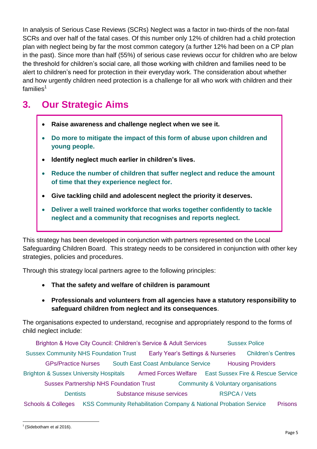In analysis of Serious Case Reviews (SCRs) Neglect was a factor in two-thirds of the non-fatal SCRs and over half of the fatal cases. Of this number only 12% of children had a child protection plan with neglect being by far the most common category (a further 12% had been on a CP plan in the past). Since more than half (55%) of serious case reviews occur for children who are below the threshold for children's social care, all those working with children and families need to be alert to children's need for protection in their everyday work. The consideration about whether and how urgently children need protection is a challenge for all who work with children and their families $1$ 

### **3. Our Strategic Aims**

- **Raise awareness and challenge neglect when we see it.**
- **Do more to mitigate the impact of this form of abuse upon children and young people.**
- **Identify neglect much earlier in children's lives.**
- **Reduce the number of children that suffer neglect and reduce the amount of time that they experience neglect for.**
- **Give tackling child and adolescent neglect the priority it deserves.**
- **Deliver a well trained workforce that works together confidently to tackle neglect and a community that recognises and reports neglect.**

This strategy has been developed in conjunction with partners represented on the Local Safeguarding Children Board. This strategy needs to be considered in conjunction with other key strategies, policies and procedures.

Through this strategy local partners agree to the following principles:

- **That the safety and welfare of children is paramount**
- **Professionals and volunteers from all agencies have a statutory responsibility to safeguard children from neglect and its consequences**.

The organisations expected to understand, recognise and appropriately respond to the forms of child neglect include:

Brighton & Hove City Council: Children's Service & Adult Services Sussex Police Sussex Community NHS Foundation Trust Early Year's Settings & Nurseries Children's Centres GPs/Practice Nurses South East Coast Ambulance Service Housing Providers Brighton & Sussex University Hospitals Armed Forces Welfare East Sussex Fire & Rescue Service Sussex Partnership NHS Foundation Trust Community & Voluntary organisations Dentists Substance misuse services RSPCA / Vets Schools & Colleges KSS Community Rehabilitation Company & National Probation Service Prisons

 $\overline{a}$  $<sup>1</sup>$  (Sidebotham et al 2016).</sup>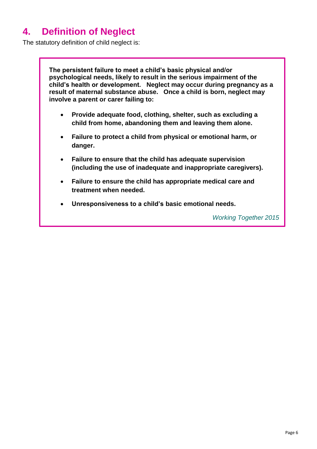### **4. Definition of Neglect**

The statutory definition of child neglect is:

**The persistent failure to meet a child's basic physical and/or psychological needs, likely to result in the serious impairment of the child's health or development. Neglect may occur during pregnancy as a result of maternal substance abuse. Once a child is born, neglect may involve a parent or carer failing to:** 

- **Provide adequate food, clothing, shelter, such as excluding a child from home, abandoning them and leaving them alone.**
- **Failure to protect a child from physical or emotional harm, or danger.**
- **Failure to ensure that the child has adequate supervision (including the use of inadequate and inappropriate caregivers).**
- **Failure to ensure the child has appropriate medical care and treatment when needed.**
- **Unresponsiveness to a child's basic emotional needs.**

*Working Together 2015*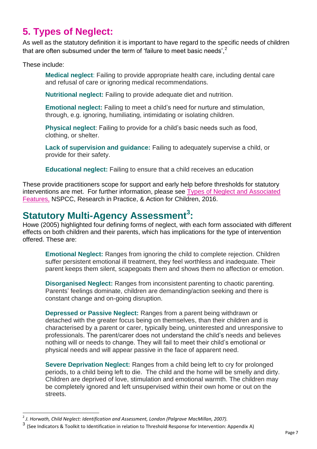### **5. Types of Neglect:**

As well as the statutory definition it is important to have regard to the specific needs of children that are often subsumed under the term of 'failure to meet basic needs', $2$ 

These include:

 $\overline{a}$ 

**Medical neglect**: Failing to provide appropriate health care, including dental care and refusal of care or ignoring medical recommendations.

**Nutritional neglect:** Failing to provide adequate diet and nutrition.

**Emotional neglect:** Failing to meet a child's need for nurture and stimulation, through, e.g. ignoring, humiliating, intimidating or isolating children.

**Physical neglect**: Failing to provide for a child's basic needs such as food, clothing, or shelter.

**Lack of supervision and guidance:** Failing to adequately supervise a child, or provide for their safety.

**Educational neglect:** Failing to ensure that a child receives an education

These provide practitioners scope for support and early help before thresholds for statutory interventions are met. For further information, please see [Types of Neglect and Associated](https://www.nspcc.org.uk/globalassets/documents/research-reports/child-neglect-an-evidence-scope-executive-summary.pdf)  [Features,](https://www.nspcc.org.uk/globalassets/documents/research-reports/child-neglect-an-evidence-scope-executive-summary.pdf) NSPCC, Research in Practice, & Action for Children, 2016.

#### **Statutory Multi-Agency Assessment<sup>3</sup> :**

Howe (2005) highlighted four defining forms of neglect, with each form associated with different effects on both children and their parents, which has implications for the type of intervention offered. These are:

**Emotional Neglect:** Ranges from ignoring the child to complete rejection. Children suffer persistent emotional ill treatment, they feel worthless and inadequate. Their parent keeps them silent, scapegoats them and shows them no affection or emotion.

**Disorganised Neglect:** Ranges from inconsistent parenting to chaotic parenting. Parents' feelings dominate, children are demanding/action seeking and there is constant change and on-going disruption.

**Depressed or Passive Neglect:** Ranges from a parent being withdrawn or detached with the greater focus being on themselves, than their children and is characterised by a parent or carer, typically being, uninterested and unresponsive to professionals. The parent/carer does not understand the child's needs and believes nothing will or needs to change. They will fail to meet their child's emotional or physical needs and will appear passive in the face of apparent need.

**Severe Deprivation Neglect:** Ranges from a child being left to cry for prolonged periods, to a child being left to die. The child and the home will be smelly and dirty. Children are deprived of love, stimulation and emotional warmth. The children may be completely ignored and left unsupervised within their own home or out on the streets.

<sup>2</sup> *J. Horwath, Child Neglect: Identification and Assessment, London (Palgrave MacMillan, 2007).*

<sup>3</sup> (See Indicators & Toolkit to Identification in relation to Threshold Response for Intervention: Appendix A)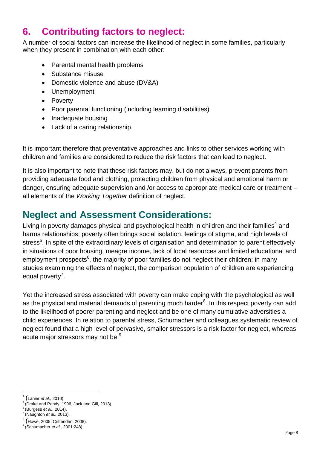### **6. Contributing factors to neglect:**

A number of social factors can increase the likelihood of neglect in some families, particularly when they present in combination with each other:

- Parental mental health problems
- Substance misuse
- Domestic violence and abuse (DV&A)
- Unemployment
- Poverty
- Poor parental functioning (including learning disabilities)
- Inadequate housing
- Lack of a caring relationship.

It is important therefore that preventative approaches and links to other services working with children and families are considered to reduce the risk factors that can lead to neglect.

It is also important to note that these risk factors may, but do not always, prevent parents from providing adequate food and clothing, protecting children from physical and emotional harm or danger, ensuring adequate supervision and /or access to appropriate medical care or treatment – all elements of the *Working Together* definition of neglect.

#### **Neglect and Assessment Considerations:**

Living in poverty damages physical and psychological health in children and their families<sup>4</sup> and harms relationships; poverty often brings social isolation, feelings of stigma, and high levels of stress<sup>5</sup>. In spite of the extraordinary levels of organisation and determination to parent effectively in situations of poor housing, meagre income, lack of local resources and limited educational and employment prospects<sup>6</sup>, the majority of poor families do not neglect their children; in many studies examining the effects of neglect, the comparison population of children are experiencing equal poverty<sup>7</sup>.

Yet the increased stress associated with poverty can make coping with the psychological as well as the physical and material demands of parenting much harder $^8$ . In this respect poverty can add to the likelihood of poorer parenting and neglect and be one of many cumulative adversities a child experiences. In relation to parental stress, Schumacher and colleagues systematic review of neglect found that a high level of pervasive, smaller stressors is a risk factor for neglect, whereas acute major stressors may not be.<sup>9</sup>

 $\ddot{\phantom{a}}$ 

<sup>4</sup> (Lanier *et al.,* 2010)

<sup>&</sup>lt;sup>5</sup> (Drake and Pandy, 1996, Jack and Gill, 2013).

<sup>6</sup> (Burgess *et al.,* 2014),

<sup>7</sup> (Naughton *et al.,* 2013).

 $^8$  (Howe, 2005; Crittenden, 2008).

<sup>9</sup> (Schumacher *et al.,* 2001:248).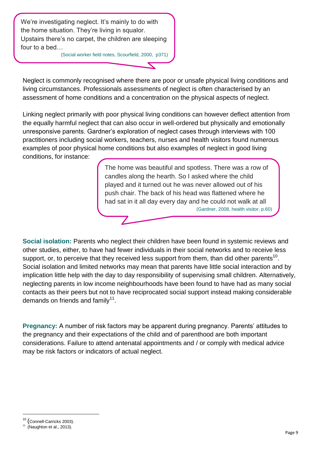We're investigating neglect. It's mainly to do with the home situation. They're living in squalor. Upstairs there's no carpet, the children are sleeping four to a bed…

(Social worker field notes, Scourfield, 2000, p371)

Neglect is commonly recognised where there are poor or unsafe physical living conditions and living circumstances. Professionals assessments of neglect is often characterised by an assessment of home conditions and a concentration on the physical aspects of neglect.

Linking neglect primarily with poor physical living conditions can however deflect attention from the equally harmful neglect that can also occur in well-ordered but physically and emotionally unresponsive parents. Gardner's exploration of neglect cases through interviews with 100 practitioners including social workers, teachers, nurses and health visitors found numerous examples of poor physical home conditions but also examples of neglect in good living conditions, for instance:

> The home was beautiful and spotless. There was a row of candles along the hearth. So I asked where the child played and it turned out he was never allowed out of his push chair. The back of his head was flattened where he had sat in it all day every day and he could not walk at all (Gardner, 2008, health visitor, p.60)

**Social isolation:** Parents who neglect their children have been found in systemic reviews and other studies, either, to have had fewer individuals in their social networks and to receive less support, or, to perceive that they received less support from them, than did other parents<sup>10</sup>. Social isolation and limited networks may mean that parents have little social interaction and by implication little help with the day to day responsibility of supervising small children. Alternatively, neglecting parents in low income neighbourhoods have been found to have had as many social contacts as their peers but not to have reciprocated social support instead making considerable demands on friends and family $^{11}$ .

**Pregnancy:** A number of risk factors may be apparent during pregnancy. Parents' attitudes to the pregnancy and their expectations of the child and of parenthood are both important considerations. Failure to attend antenatal appointments and / or comply with medical advice may be risk factors or indicators of actual neglect.

 $\overline{a}$ 

<sup>10</sup> (Connell-Carricks 2003).

 $11$  (Naughton et al., 2013).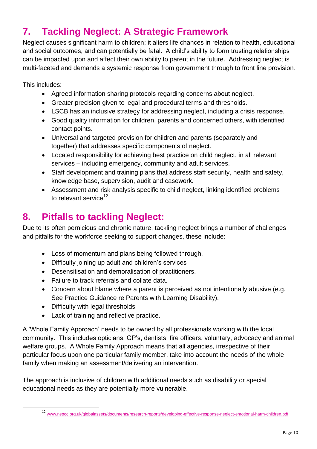### **7. Tackling Neglect: A Strategic Framework**

Neglect causes significant harm to children; it alters life chances in relation to health, educational and social outcomes, and can potentially be fatal. A child's ability to form trusting relationships can be impacted upon and affect their own ability to parent in the future. Addressing neglect is multi-faceted and demands a systemic response from government through to front line provision.

This includes:

 $\ddot{\phantom{a}}$ 

- Agreed information sharing protocols regarding concerns about neglect.
- Greater precision given to legal and procedural terms and thresholds.
- LSCB has an inclusive strategy for addressing neglect, including a crisis response.
- Good quality information for children, parents and concerned others, with identified contact points.
- Universal and targeted provision for children and parents (separately and together) that addresses specific components of neglect.
- Located responsibility for achieving best practice on child neglect, in all relevant services – including emergency, community and adult services.
- Staff development and training plans that address staff security, health and safety, knowledge base, supervision, audit and casework.
- Assessment and risk analysis specific to child neglect, linking identified problems to relevant service $12$

### **8. Pitfalls to tackling Neglect:**

Due to its often pernicious and chronic nature, tackling neglect brings a number of challenges and pitfalls for the workforce seeking to support changes, these include:

- Loss of momentum and plans being followed through.
- Difficulty joining up adult and children's services
- Desensitisation and demoralisation of practitioners.
- Failure to track referrals and collate data.
- Concern about blame where a parent is perceived as not intentionally abusive (e.g. See Practice Guidance re Parents with Learning Disability).
- Difficulty with legal thresholds
- Lack of training and reflective practice.

A 'Whole Family Approach' needs to be owned by all professionals working with the local community. This includes opticians, GP's, dentists, fire officers, voluntary, advocacy and animal welfare groups. A Whole Family Approach means that all agencies, irrespective of their particular focus upon one particular family member, take into account the needs of the whole family when making an assessment/delivering an intervention.

The approach is inclusive of children with additional needs such as disability or special educational needs as they are potentially more vulnerable.

<sup>12</sup> [www.nspcc.org.uk/globalassets/documents/research-reports/developing-effective-response-neglect-emotional-harm-children.pdf](http://www.nspcc.org.uk/globalassets/documents/research-reports/developing-effective-response-neglect-emotional-harm-children.pdf)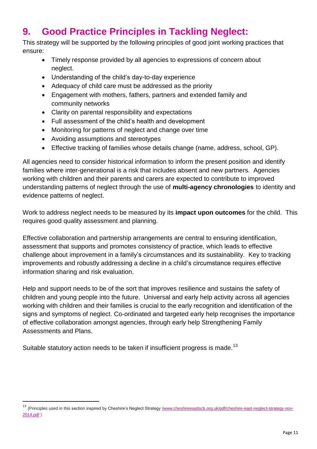### **9. Good Practice Principles in Tackling Neglect:**

This strategy will be supported by the following principles of good joint working practices that ensure:

- Timely response provided by all agencies to expressions of concern about neglect.
- Understanding of the child's day-to-day experience
- Adequacy of child care must be addressed as the priority
- Engagement with mothers, fathers, partners and extended family and community networks
- Clarity on parental responsibility and expectations
- Full assessment of the child's health and development
- Monitoring for patterns of neglect and change over time
- Avoiding assumptions and stereotypes
- Effective tracking of families whose details change (name, address, school, GP).

All agencies need to consider historical information to inform the present position and identify families where inter-generational is a risk that includes absent and new partners. Agencies working with children and their parents and carers are expected to contribute to improved understanding patterns of neglect through the use of **multi-agency chronologies** to identity and evidence patterns of neglect.

Work to address neglect needs to be measured by its **impact upon outcomes** for the child. This requires good quality assessment and planning.

Effective collaboration and partnership arrangements are central to ensuring identification, assessment that supports and promotes consistency of practice, which leads to effective challenge about improvement in a family's circumstances and its sustainability. Key to tracking improvements and robustly addressing a decline in a child's circumstance requires effective information sharing and risk evaluation.

Help and support needs to be of the sort that improves resilience and sustains the safety of children and young people into the future. Universal and early help activity across all agencies working with children and their families is crucial to the early recognition and identification of the signs and symptoms of neglect. Co-ordinated and targeted early help recognises the importance of effective collaboration amongst agencies, through early help Strengthening Family Assessments and Plans.

Suitable statutory action needs to be taken if insufficient progress is made.<sup>13</sup>

 $\overline{a}$ 

<sup>&</sup>lt;sup>13</sup> (Principles used in this section inspired by Cheshire's Neglect Strategy [/www.cheshireeastlscb.org.uk/pdf/cheshire-east-neglect-strategy-nov-](http://www.cheshireeastlscb.org.uk/pdf/cheshire-east-neglect-strategy-nov-2014.pdf)[2014.pdf](http://www.cheshireeastlscb.org.uk/pdf/cheshire-east-neglect-strategy-nov-2014.pdf) )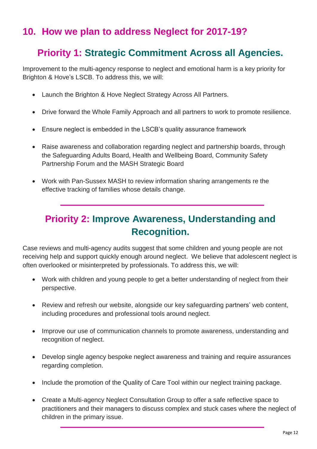#### **10. How we plan to address Neglect for 2017-19?**

#### **Priority 1: Strategic Commitment Across all Agencies.**

Improvement to the multi-agency response to neglect and emotional harm is a key priority for Brighton & Hove's LSCB. To address this, we will:

- Launch the Brighton & Hove Neglect Strategy Across All Partners.
- Drive forward the Whole Family Approach and all partners to work to promote resilience.
- Ensure neglect is embedded in the LSCB's quality assurance framework
- Raise awareness and collaboration regarding neglect and partnership boards, through the Safeguarding Adults Board, Health and Wellbeing Board, Community Safety Partnership Forum and the MASH Strategic Board
- Work with Pan-Sussex MASH to review information sharing arrangements re the effective tracking of families whose details change.

### **Priority 2: Improve Awareness, Understanding and Recognition.**

Case reviews and multi-agency audits suggest that some children and young people are not receiving help and support quickly enough around neglect. We believe that adolescent neglect is often overlooked or misinterpreted by professionals. To address this, we will:

- Work with children and young people to get a better understanding of neglect from their perspective.
- Review and refresh our website, alongside our key safeguarding partners' web content, including procedures and professional tools around neglect.
- Improve our use of communication channels to promote awareness, understanding and recognition of neglect.
- Develop single agency bespoke neglect awareness and training and require assurances regarding completion.
- Include the promotion of the Quality of Care Tool within our neglect training package.
- Create a Multi-agency Neglect Consultation Group to offer a safe reflective space to practitioners and their managers to discuss complex and stuck cases where the neglect of children in the primary issue.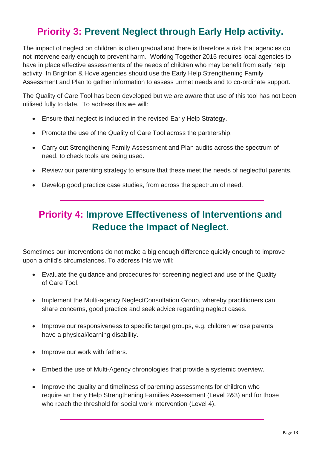### **Priority 3: Prevent Neglect through Early Help activity.**

The impact of neglect on children is often gradual and there is therefore a risk that agencies do not intervene early enough to prevent harm. Working Together 2015 requires local agencies to have in place effective assessments of the needs of children who may benefit from early help activity. In Brighton & Hove agencies should use the Early Help Strengthening Family Assessment and Plan to gather information to assess unmet needs and to co-ordinate support.

The Quality of Care Tool has been developed but we are aware that use of this tool has not been utilised fully to date. To address this we will:

- Ensure that neglect is included in the revised Early Help Strategy.
- Promote the use of the Quality of Care Tool across the partnership.
- Carry out Strengthening Family Assessment and Plan audits across the spectrum of need, to check tools are being used.
- Review our parenting strategy to ensure that these meet the needs of neglectful parents.
- Develop good practice case studies, from across the spectrum of need.

### **Priority 4: Improve Effectiveness of Interventions and Reduce the Impact of Neglect.**

Sometimes our interventions do not make a big enough difference quickly enough to improve upon a child's circumstances. To address this we will:

- Evaluate the guidance and procedures for screening neglect and use of the Quality of Care Tool.
- Implement the Multi-agency NeglectConsultation Group, whereby practitioners can share concerns, good practice and seek advice regarding neglect cases.
- Improve our responsiveness to specific target groups, e.g. children whose parents have a physical/learning disability.
- Improve our work with fathers.
- Embed the use of Multi-Agency chronologies that provide a systemic overview.
- Improve the quality and timeliness of parenting assessments for children who require an Early Help Strengthening Families Assessment (Level 2&3) and for those who reach the threshold for social work intervention (Level 4).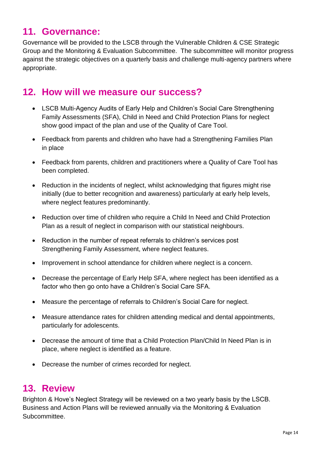#### **11. Governance:**

Governance will be provided to the LSCB through the Vulnerable Children & CSE Strategic Group and the Monitoring & Evaluation Subcommittee. The subcommittee will monitor progress against the strategic objectives on a quarterly basis and challenge multi-agency partners where appropriate.

#### **12. How will we measure our success?**

- LSCB Multi-Agency Audits of Early Help and Children's Social Care Strengthening Family Assessments (SFA), Child in Need and Child Protection Plans for neglect show good impact of the plan and use of the Quality of Care Tool.
- Feedback from parents and children who have had a Strengthening Families Plan in place
- Feedback from parents, children and practitioners where a Quality of Care Tool has been completed.
- Reduction in the incidents of neglect, whilst acknowledging that figures might rise initially (due to better recognition and awareness) particularly at early help levels, where neglect features predominantly.
- Reduction over time of children who require a Child In Need and Child Protection Plan as a result of neglect in comparison with our statistical neighbours.
- Reduction in the number of repeat referrals to children's services post Strengthening Family Assessment, where neglect features.
- Improvement in school attendance for children where neglect is a concern.
- Decrease the percentage of Early Help SFA, where neglect has been identified as a factor who then go onto have a Children's Social Care SFA.
- Measure the percentage of referrals to Children's Social Care for neglect.
- Measure attendance rates for children attending medical and dental appointments, particularly for adolescents.
- Decrease the amount of time that a Child Protection Plan/Child In Need Plan is in place, where neglect is identified as a feature.
- Decrease the number of crimes recorded for neglect.

#### **13. Review**

Brighton & Hove's Neglect Strategy will be reviewed on a two yearly basis by the LSCB. Business and Action Plans will be reviewed annually via the Monitoring & Evaluation Subcommittee.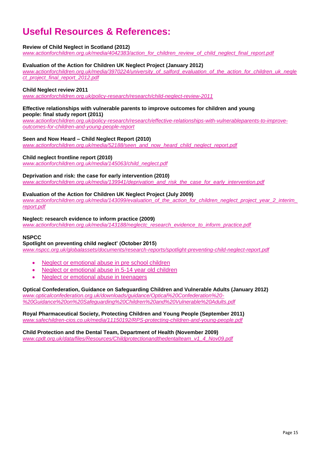### **Useful Resources & References:**

#### **Review of Child Neglect in Scotland (2012)**

*[www.actionforchildren.org.uk/media/4042383/action\\_for\\_children\\_review\\_of\\_child\\_neglect\\_final\\_report.pdf](http://www.actionforchildren.org.uk/media/4042383/action_for_children_review_of_child_neglect_final_report.pdf)*

#### **Evaluation of the Action for Children UK Neglect Project (January 2012)**

*[www.actionforchildren.org.uk/media/3970224/university\\_of\\_salford\\_evaluation\\_of\\_the\\_action\\_for\\_children\\_uk\\_negle](http://www.actionforchildren.org.uk/media/3970224/university_of_salford_evaluation_of_the_action_for_children_uk_neglect_project_final_report_2012.pdf) [ct\\_project\\_final\\_report\\_2012.pdf](http://www.actionforchildren.org.uk/media/3970224/university_of_salford_evaluation_of_the_action_for_children_uk_neglect_project_final_report_2012.pdf)*

#### **Child Neglect review 2011**

*[www.actionforchildren.org.uk/policy-research/research/child-neglect-review-2011](http://www.actionforchildren.org.uk/policy-research/research/child-neglect-review-2011)*

#### **Effective relationships with vulnerable parents to improve outcomes for children and young people: final study report (2011)**

*[www.actionforchildren.org.uk/policy-research/research/effective-relationships-with-vulnerableparents-to-improve](http://www.actionforchildren.org.uk/policy-research/research/effective-relationships-with-vulnerableparents-to-improve-outcomes-for-children-and-young-people-report)[outcomes-for-children-and-young-people-report](http://www.actionforchildren.org.uk/policy-research/research/effective-relationships-with-vulnerableparents-to-improve-outcomes-for-children-and-young-people-report)*

#### **Seen and Now Heard – Child Neglect Report (2010)**

*[www.actionforchildren.org.uk/media/52188/seen\\_and\\_now\\_heard\\_child\\_neglect\\_report.pdf](http://www.actionforchildren.org.uk/media/52188/seen_and_now_heard_child_neglect_report.pdf)*

#### **Child neglect frontline report (2010)**

*[www.actionforchildren.org.uk/media/145063/child\\_neglect.pdf](http://www.actionforchildren.org.uk/media/145063/child_neglect.pdf)*

#### **Deprivation and risk: the case for early intervention (2010)**

*[www.actionforchildren.org.uk/media/139941/deprivation\\_and\\_risk\\_the\\_case\\_for\\_early\\_intervention.pdf](http://www.actionforchildren.org.uk/media/139941/deprivation_and_risk_the_case_for_early_intervention.pdf)*

#### **Evaluation of the Action for Children UK Neglect Project (July 2009)**

*[www.actionforchildren.org.uk/media/143099/evaluation\\_of\\_the\\_action\\_for\\_children\\_neglect\\_project\\_year\\_2\\_interim\\_](http://www.actionforchildren.org.uk/media/143099/evaluation_of_the_action_for_children_neglect_project_year_2_interim_report.pdf) [report.pdf](http://www.actionforchildren.org.uk/media/143099/evaluation_of_the_action_for_children_neglect_project_year_2_interim_report.pdf)*

#### **Neglect: research evidence to inform practice (2009)**

*[www.actionforchildren.org.uk/media/143188/neglectc\\_research\\_evidence\\_to\\_inform\\_practice.pdf](http://www.actionforchildren.org.uk/media/143188/neglectc_research_evidence_to_inform_practice.pdf)*

#### **NSPCC**

#### **Spotlight on preventing child neglect' (October 2015)**

*[www.nspcc.org.uk/globalassets/documents/research-reports/spotlight-preventing-child-neglect-report.pdf](http://www.nspcc.org.uk/globalassets/documents/research-reports/spotlight-preventing-child-neglect-report.pdf)*

- [Neglect or emotional abuse in pre school children](https://www.nspcc.org.uk/services-and-resources/research-and-resources/pre-2013/core-info-emotional-neglect-abuse-pre-school)
- Neglect [or emotional abuse in 5-14 year old children](https://www.nspcc.org.uk/services-and-resources/research-and-resources/2014/neglect-emotional-abuse-core-info)
- [Neglect or emotional abuse in teenagers](https://www.nspcc.org.uk/services-and-resources/research-and-resources/2014/neglect-or-emotional-abuse-in-teenagers-core-info-leaflet)

**Optical Confederation, Guidance on Safeguarding Children and Vulnerable Adults (January 2012)** *[www.opticalconfederation.org.uk/downloads/guidance/Optical%20Confederation%20-](http://www.opticalconfederation.org.uk/downloads/guidance/Optical%20Confederation%20-%20Guidance%20on%20Safeguarding%20Children%20and%20Vulnerable%20Adults.pdf)*

*[%20Guidance%20on%20Safeguarding%20Children%20and%20Vulnerable%20Adults.pdf](http://www.opticalconfederation.org.uk/downloads/guidance/Optical%20Confederation%20-%20Guidance%20on%20Safeguarding%20Children%20and%20Vulnerable%20Adults.pdf)*

**Royal Pharmaceutical Society, Protecting Children and Young People (September 2011)** *[www.safechildren-cios.co.uk/media/11150192/RPS-protecting-children-and-young-people.pdf](http://www.safechildren-cios.co.uk/media/11150192/RPS-protecting-children-and-young-people.pdf)*

**Child Protection and the Dental Team, Department of Health (November 2009)** *[www.cpdt.org.uk/data/files/Resources/Childprotectionandthedentalteam\\_v1\\_4\\_Nov09.pdf](http://www.cpdt.org.uk/data/files/Resources/Childprotectionandthedentalteam_v1_4_Nov09.pdf)*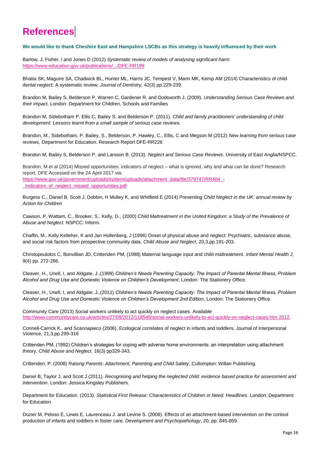#### **References**:

#### **We would like to thank Cheshire East and Hampshire LSCBs as this strategy is heavily influenced by their work**

Barlow, J, Fisher, I and Jones D (2012) *Systematic review of models of analysing significant harm*  <https://www.education.gov.uk/publications/.../DFE-RR199>

Bhatia SK, Maguire SA, Chadwick BL, Hunter ML, Harris JC, Tempest V, Mann MK, Kemp AM (2014) Characteristics of child dental neglect: A systematic review, *Journal of Dentistry,* 42(3) pp.229-239.

Brandon M, Bailey S, Belderson P, Warren C, Gardener R. and Dodsworth J. (2009). *Understanding Serious Case Reviews and their impact.* London: Department for Children, Schools and Families

Brandon M, Sidebotham P, Ellis C, Bailey S. and Belderson P. (2011). *Child and family practitioners' understanding of child development: Lessons learnt from a small sample of serious case reviews.* 

Brandon, M., Sidebotham, P. Bailey, S., Belderson, P. Hawley, C., Ellis, C and Megson M (2012) *New learning from serious case reviews,* Department for Education. Research Report DFE-RR226

Brandon M, Bailey S, Belderson P. and Larsson B. (2013). *Neglect and Serious Case Reviews.* University of East Anglia/NSPCC.

Brandon, M et al (2014) Missed opportunities: indicators of neglect – what is ignored, why and what can be done? Research report, DFE Accessed on the 24 April 2017 via: [https://www.gov.uk/government/uploads/system/uploads/attachment\\_data/file/379747/RR404\\_-](https://www.gov.uk/government/uploads/system/uploads/attachment_data/file/379747/RR404_-_Indicators_of_neglect_missed_opportunities.pdf)

[\\_Indicators\\_of\\_neglect\\_missed\\_opportunities.pdf](https://www.gov.uk/government/uploads/system/uploads/attachment_data/file/379747/RR404_-_Indicators_of_neglect_missed_opportunities.pdf)

Burgess C., Daniel B, Scott J, Dobbin, H Mulley K, and Whitfield E (2014) Preventing *Child Neglect in the UK: annual review by Action for Children* 

Cawson, P, Wattam, C., Brooker, S., Kelly, G., (2000) *Child Maltreatment in the United Kingdom: a Study of the Prevalence of Abuse and Neglect.* NSPCC: Inform.

Chaffin, M., Kelly Kelleher, K and Jan Hollenberg, J (1996) Onset of physical abuse and neglect: Psychiatric, substance abuse, and social risk factors from prospective community data, *Child Abuse and Neglect*, 20,3,pp.191-203.

Christopoulolos C, Bonvillian JD, Crittenden PM, (1988) Maternal language input and child maltreatment. *Infant Mental Health J*, 9(4) pp. 272-286.

Cleaver, H., Unell, I, and Aldgate, J.,(1999) *Children's Needs Parenting Capacity: The Impact of Parental Mental Illness, Problem Alcohol and Drug Use and Domestic Violence on Children's Development*, London: The Stationery Office.

Cleaver, H., Unell, I, and Aldgate, J.,(2011) *Children's Needs Parenting Capacity: The Impact of Parental Mental Illness, Problem Alcohol and Drug Use and Domestic Violence on Children's Development 2nd Edition*, London: The Stationery Office.

Community Care (2013) Social workers unlikely to act quickly on neglect cases. Available [http://www.communitycare.co.uk/articles/27/09/2012/118548/social-workers-unlikely-to-act-quickly-on-neglect-cases.htm 2012.](http://www.communitycare.co.uk/articles/27/09/2012/118548/social-workers-unlikely-to-act-quickly-on-neglect-cases.htm%202012)

Connell-Carrick K., and Scannapieco (2006). Ecological correlates of neglect in infants and toddlers, Journal of Interpersonal Violence, 21,3,pp 299-316

Crittenden PM. (1992) Children's strategies for coping with adverse home environments: an interpretation using attachment theory. *Child Abuse and Neglect*. 16(3) pp329-343.

Crittenden, P. (2008) *Raising Parents*: *Attachment, Parenting and Child Safety*, Cullompton: Willan Publishing.

Daniel B, Taylor J. and Scott J.(2011). *Recognising and helping the neglected child: evidence based practice for assessment and intervention*. London: Jessica Kingsley Publishers.

Department for Education. (2013). *Statistical First Release: Characteristics of Children in Need. Headlines*. London: Department for Education

Dozier M, Peloso E, Lewis E, Laurenceau J. and Levine S. (2008). Effects of an attachment-based intervention on the cortisol production of infants and toddlers in foster care. *Development and Psychopathology*, 20, pp. 845-859.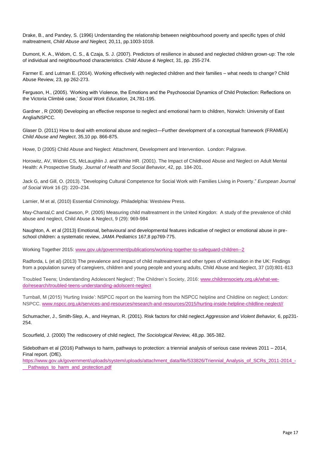Drake, B., and Pandey, S. (1996) Understanding the relationship between neighbourhood poverty and specific types of child maltreatment, *Child Abuse and Neglect,* 20,11, pp.1003-1018.

Dumont, K. A., Widom, C. S., & Czaja, S. J. (2007). Predictors of resilience in abused and neglected children grown-up: The role of individual and neighbourhood characteristics. *Child Abuse & Neglect*, 31, pp. 255-274.

Farmer E. and Lutman E. (2014). Working effectively with neglected children and their families – what needs to change? Child Abuse Review, 23, pp 262-273.

Ferguson, H., (2005). 'Working with Violence, the Emotions and the Psychosocial Dynamics of Child Protection: Reflections on the Victoria Climbié case,' *Social Work Education,* 24,781-195.

Gardner , R (2008) Developing an effective response to neglect and emotional harm to children, Norwich: University of East Anglia/NSPCC.

Glaser D. (2011) How to deal with emotional abuse and neglect—Further development of a conceptual framework (FRAMEA) *Child Abuse and Neglect*, 35,10 pp. 866-875.

Howe, D (2005) Child Abuse and Neglect: Attachment, Development and Intervention. London: Palgrave.

Horowitz, AV, Widom CS, McLaughlin J. and White HR. (2001). The Impact of Childhood Abuse and Neglect on Adult Mental Health: A Prospective Study. *Journal of Health and Social Behavior*, 42, pp. 184-201.

Jack G, and Gill, O. (2013). "Developing Cultural Competence for Social Work with Families Living in Poverty." *European Journal of Social Work* 16 (2): 220–234.

Larnier, M et al, (2010) Essential Criminology. Philadelphia: Westview Press.

May-Chantal,C and Cawson, P. (2005) Measuring child maltreatment in the United Kingdon: A study of the prevalence of child abuse and neglect, Child Abuse & Neglect, 9 (29): 969-984

Naughton, A. et al (2013) Emotional, behavioural and developmental features indicative of neglect or emotional abuse in preschool children: a systematic review, *JAMA Pediatrics* 167,8 pp769-775.

Working Together 2015[: www.gov.uk/government/publications/working-together-to-safeguard-children--2](http://www.gov.uk/government/publications/working-together-to-safeguard-children--2)

Radforda, L (et al) (2013) The prevalence and impact of child maltreatment and other types of victimisation in the UK: Findings from a population survey of caregivers, children and young people and young adults, Child Abuse and Neglect, 37 (10):801-813

Troubled Teens; Understanding Adolescent Neglect'; The Children's Society, 2016: [www.childrensociety.org.uk/what-we](http://www.childrensociety.org.uk/what-we-do/research/troubled-teens-understanding-adolscent-neglect)[do/research/troubled-teens-understanding-adolscent-neglect](http://www.childrensociety.org.uk/what-we-do/research/troubled-teens-understanding-adolscent-neglect)

Turnball, M (2015) 'Hurting Inside': NSPCC report on the learning from the NSPCC helpline and Childline on neglect; London: NSPCC. [www.nspcc.org.uk/services-and-resources/research-and-resources/2015/hurting-inside-helpline-childline-neglect//](http://www.nspcc.org.uk/services-and-resources/research-and-resources/2015/hurting-inside-helpline-childline-neglect/)

Schumacher, J., Smith-Slep, A., and Heyman, R. (2001). Risk factors for child neglect.*Aggression and Violent Behavior,* 6, pp231- 254.

Scourfield, J. (2000) The rediscovery of child neglect, *The Sociological Review,* 48,pp. 365-382.

Sidebotham et al (2016) Pathways to harm, pathways to protection: a triennial analysis of serious case reviews 2011 – 2014, Final report. (DfE).

[https://www.gov.uk/government/uploads/system/uploads/attachment\\_data/file/533826/Triennial\\_Analysis\\_of\\_SCRs\\_2011-2014\\_-](https://www.gov.uk/government/uploads/system/uploads/attachment_data/file/533826/Triennial_Analysis_of_SCRs_2011-2014_-__Pathways_to_harm_and_protection.pdf) [\\_\\_Pathways\\_to\\_harm\\_and\\_protection.pdf](https://www.gov.uk/government/uploads/system/uploads/attachment_data/file/533826/Triennial_Analysis_of_SCRs_2011-2014_-__Pathways_to_harm_and_protection.pdf)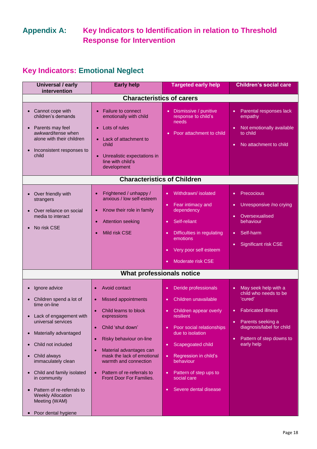#### **Appendix A: Key Indicators to Identification in relation to Threshold Response for Intervention**

#### **Key Indicators: Emotional Neglect**

| <b>Universal / early</b><br>intervention                                                                                                                                                                                                                                                                                                                                                                                                 | <b>Early help</b>                                                                                                                                                                                                                                                                                                                                                          | <b>Targeted early help</b>                                                                                                                                                                                                                                                                                                                        | <b>Children's social care</b>                                                                                                                                                                                                         |  |
|------------------------------------------------------------------------------------------------------------------------------------------------------------------------------------------------------------------------------------------------------------------------------------------------------------------------------------------------------------------------------------------------------------------------------------------|----------------------------------------------------------------------------------------------------------------------------------------------------------------------------------------------------------------------------------------------------------------------------------------------------------------------------------------------------------------------------|---------------------------------------------------------------------------------------------------------------------------------------------------------------------------------------------------------------------------------------------------------------------------------------------------------------------------------------------------|---------------------------------------------------------------------------------------------------------------------------------------------------------------------------------------------------------------------------------------|--|
| <b>Characteristics of carers</b>                                                                                                                                                                                                                                                                                                                                                                                                         |                                                                                                                                                                                                                                                                                                                                                                            |                                                                                                                                                                                                                                                                                                                                                   |                                                                                                                                                                                                                                       |  |
| Cannot cope with<br>children's demands<br>Parents may feel<br>$\bullet$<br>awkward/tense when<br>alone with their children<br>Inconsistent responses to<br>$\bullet$<br>child                                                                                                                                                                                                                                                            | Failure to connect<br>$\bullet$<br>emotionally with child<br>Lots of rules<br>Lack of attachment to<br>child<br>Unrealistic expectations in<br>line with child's<br>development                                                                                                                                                                                            | • Dismissive / punitive<br>response to child's<br>needs<br>Poor attachment to child<br>$\bullet$                                                                                                                                                                                                                                                  | Parental responses lack<br>$\bullet$<br>empathy<br>Not emotionally available<br>$\bullet$<br>to child<br>No attachment to child<br>$\bullet$                                                                                          |  |
|                                                                                                                                                                                                                                                                                                                                                                                                                                          | <b>Characteristics of Children</b>                                                                                                                                                                                                                                                                                                                                         |                                                                                                                                                                                                                                                                                                                                                   |                                                                                                                                                                                                                                       |  |
| Over friendly with<br>strangers<br>Over reliance on social<br>media to interact<br>No risk CSE                                                                                                                                                                                                                                                                                                                                           | Frightened / unhappy /<br>$\bullet$<br>anxious / low self-esteem<br>Know their role in family<br>$\bullet$<br><b>Attention seeking</b><br>$\bullet$<br>Mild risk CSE                                                                                                                                                                                                       | Withdrawn/ isolated<br>$\bullet$<br>Fear intimacy and<br>$\bullet$<br>dependency<br>Self-reliant<br>$\bullet$<br>Difficulties in regulating<br>$\bullet$<br>emotions<br>Very poor self esteem<br>Moderate risk CSE                                                                                                                                | Precocious<br>$\bullet$<br>Unresponsive /no crying<br>$\bullet$<br>Oversexualised<br>$\bullet$<br>behaviour<br>Self-harm<br>$\bullet$<br>Significant risk CSE<br>$\bullet$                                                            |  |
|                                                                                                                                                                                                                                                                                                                                                                                                                                          | What professionals notice                                                                                                                                                                                                                                                                                                                                                  |                                                                                                                                                                                                                                                                                                                                                   |                                                                                                                                                                                                                                       |  |
| Ignore advice<br>$\bullet$<br>Children spend a lot of<br>$\bullet$<br>time on-line<br>Lack of engagement with<br>$\bullet$<br>universal services<br>Materially advantaged<br>$\bullet$<br>Child not included<br>Child always<br>$\bullet$<br>immaculately clean<br>Child and family isolated<br>$\bullet$<br>in community<br>Pattern of re-referrals to<br>$\bullet$<br><b>Weekly Allocation</b><br>Meeting (WAM)<br>Poor dental hygiene | Avoid contact<br>$\bullet$<br>Missed appointments<br>$\bullet$<br>Child learns to block<br>$\bullet$<br>expressions<br>Child 'shut down'<br>$\bullet$<br>Risky behaviour on-line<br>$\bullet$<br>Material advantages can<br>$\bullet$<br>mask the lack of emotional<br>warmth and connection<br>Pattern of re-referrals to<br>$\bullet$<br><b>Front Door For Families.</b> | Deride professionals<br>$\bullet$<br>Children unavailable<br>$\bullet$ .<br>Children appear overly<br>resilient<br>Poor social relationships<br>due to isolation<br>Scapegoated child<br>$\bullet$<br>Regression in child's<br>$\bullet$<br>behaviour<br>Pattern of step ups to<br>$\bullet$<br>social care<br>Severe dental disease<br>$\bullet$ | May seek help with a<br>$\bullet$<br>child who needs to be<br>'cured'<br><b>Fabricated illness</b><br>$\bullet$<br>Parents seeking a<br>$\bullet$<br>diagnosis/label for child<br>Pattern of step downs to<br>$\bullet$<br>early help |  |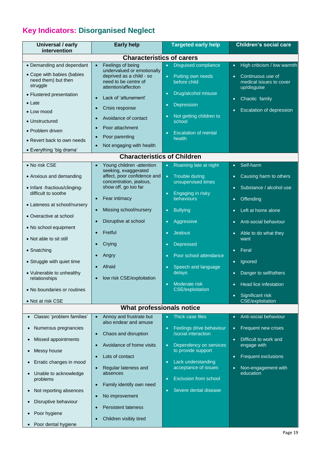### **Key Indicators: Disorganised Neglect**

| Universal / early<br>intervention                             | <b>Early help</b>                                                                                     | <b>Targeted early help</b>                                   | <b>Children's social care</b>                                            |
|---------------------------------------------------------------|-------------------------------------------------------------------------------------------------------|--------------------------------------------------------------|--------------------------------------------------------------------------|
|                                                               | <b>Characteristics of carers</b>                                                                      |                                                              |                                                                          |
| • Demanding and dependant                                     | Feelings of being                                                                                     | <b>Disguised compliance</b><br>$\bullet$                     | High criticism / low warmth<br>$\bullet$                                 |
| • Cope with babies (babies<br>need them) but then<br>struggle | undervalued or emotionally<br>deprived as a child - so<br>need to be centre of<br>attention/affection | Putting own needs<br>$\bullet$<br>before child               | Continuous use of<br>$\bullet$<br>medical issues to cover<br>up/disguise |
| • Flustered presentation                                      | Lack of 'attunement'                                                                                  | Drug/alcohol misuse                                          | Chaotic family<br>$\bullet$                                              |
| $\bullet$ Late<br>• Low mood                                  | Crisis response                                                                                       | Depression<br>$\bullet$                                      | <b>Escalation of depression</b>                                          |
| • Unstructured                                                | Avoidance of contact<br>$\bullet$                                                                     | Not getting children to<br>$\bullet$<br>school               |                                                                          |
| • Problem driven                                              | Poor attachment                                                                                       | <b>Escalation of mental</b>                                  |                                                                          |
| • Revert back to own needs                                    | Poor parenting<br>$\bullet$                                                                           | health                                                       |                                                                          |
| • Everything 'big drama'                                      | Not engaging with health                                                                              |                                                              |                                                                          |
|                                                               | <b>Characteristics of Children</b>                                                                    |                                                              |                                                                          |
| • No risk CSE                                                 | Young children -attention                                                                             | Roaming late at night<br>$\bullet$                           | Self-harm<br>$\bullet$                                                   |
| • Anxious and demanding                                       | seeking, exaggerated<br>affect, poor confidence and<br>concentration, jealous,                        | Trouble during<br>$\bullet$<br>unsupervised times            | Causing harm to others<br>$\bullet$                                      |
| • Infant -fractious/clinging-<br>difficult to soothe          | show off, go too far                                                                                  | Engaging in risky                                            | Substance / alcohol use<br>$\bullet$                                     |
|                                                               | Fear intimacy<br>$\bullet$                                                                            | behaviours                                                   | Offending<br>$\bullet$                                                   |
| • Lateness at school/nursery                                  | Missing school/nursery                                                                                | <b>Bullying</b><br>$\bullet$                                 | Left at home alone<br>$\bullet$                                          |
| • Overactive at school                                        | Disruptive at school                                                                                  | Aggressive<br>$\bullet$                                      | Anti-social behaviour<br>$\bullet$                                       |
| • No school equipment                                         | Fretful                                                                                               | <b>Jealous</b><br>$\bullet$                                  | Able to do what they<br>$\bullet$                                        |
| • Not able to sit still                                       | Crying                                                                                                | Depressed<br>$\bullet$                                       | want                                                                     |
| • Snatching                                                   | Angry                                                                                                 | Poor school attendance                                       | Feral<br>$\bullet$                                                       |
| • Struggle with quiet time                                    | Afraid                                                                                                | Speech and language                                          | Ignored<br>$\bullet$                                                     |
| • Vulnerable to unhealthy<br>relationships                    | low risk CSE/exploitation                                                                             | delays                                                       | Danger to self/others<br>$\bullet$                                       |
| • No boundaries or routines                                   |                                                                                                       | Moderate risk<br>$\bullet$<br><b>CSE/exploitation</b>        | Head lice infestation<br>$\bullet$                                       |
| • Not at risk CSE                                             |                                                                                                       |                                                              | Significant risk<br>$\bullet$<br><b>CSE/exploitation</b>                 |
|                                                               | What professionals notice                                                                             |                                                              |                                                                          |
| Classic 'problem families'<br>$\bullet$                       | Annoy and frustrate but<br>$\bullet$<br>also endear and amuse                                         | Thick case files<br>$\bullet$                                | Anti-social behaviour<br>$\bullet$                                       |
| Numerous pregnancies<br>$\bullet$                             | Chaos and disruption<br>$\bullet$                                                                     | Feelings drive behaviour<br>$\bullet$<br>/social interaction | Frequent new crises<br>$\bullet$                                         |
| Missed appointments<br>$\bullet$                              | Avoidance of home visits<br>$\bullet$                                                                 | Dependency on services<br>$\bullet$                          | Difficult to work and<br>$\bullet$<br>engage with                        |
| Messy house<br>$\bullet$                                      | Lots of contact                                                                                       | to provide support                                           | <b>Frequent exclusions</b><br>$\bullet$                                  |
| Erratic changes in mood<br>$\bullet$                          | Regular lateness and                                                                                  | Lack understanding<br>$\bullet$<br>acceptance of issues      | Non-engagement with<br>$\bullet$                                         |
| Unable to acknowledge<br>$\bullet$<br>problems                | absences                                                                                              | <b>Exclusion from school</b><br>$\bullet$                    | education                                                                |
| Not reporting absences<br>$\bullet$                           | Family identify own need<br>$\bullet$                                                                 | Severe dental disease<br>$\bullet$                           |                                                                          |
| Disruptive behaviour<br>$\bullet$                             | No improvement<br>$\bullet$                                                                           |                                                              |                                                                          |
| Poor hygiene<br>$\bullet$                                     | <b>Persistent lateness</b>                                                                            |                                                              |                                                                          |
| Poor dental hygiene<br>$\bullet$                              | Children visibly tired                                                                                |                                                              |                                                                          |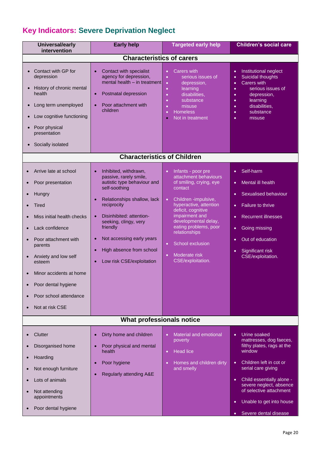### **Key Indicators: Severe Deprivation Neglect**

| <b>Characteristics of carers</b><br>Contact with specialist<br>agency for depression,                                                                                                                                                                                                                                                       |                                                                                                                                                                                                                                                                                                                                                             |                                                                                                                                                                                                                                                                                                                              |  |
|---------------------------------------------------------------------------------------------------------------------------------------------------------------------------------------------------------------------------------------------------------------------------------------------------------------------------------------------|-------------------------------------------------------------------------------------------------------------------------------------------------------------------------------------------------------------------------------------------------------------------------------------------------------------------------------------------------------------|------------------------------------------------------------------------------------------------------------------------------------------------------------------------------------------------------------------------------------------------------------------------------------------------------------------------------|--|
|                                                                                                                                                                                                                                                                                                                                             |                                                                                                                                                                                                                                                                                                                                                             |                                                                                                                                                                                                                                                                                                                              |  |
| mental health - in treatment<br>Postnatal depression<br>$\bullet$<br>Poor attachment with<br>children                                                                                                                                                                                                                                       | <b>Carers with</b><br>$\bullet$<br>serious issues of<br>$\bullet$<br>depression,<br>$\bullet$<br>learning<br>$\bullet$<br>disabilities,<br>$\bullet$<br>substance<br>$\bullet$<br>misuse<br>$\bullet$<br><b>Homeless</b><br>$\bullet$<br>Not in treatment<br>$\bullet$                                                                                      | Institutional neglect<br>$\bullet$<br>Suicidal thoughts<br>$\bullet$<br><b>Carers with</b><br>$\bullet$<br>serious issues of<br>$\bullet$<br>depression,<br>$\bullet$<br>learning<br>$\bullet$<br>disabilities,<br>$\bullet$<br>substance<br>$\bullet$<br>misuse<br>$\bullet$                                                |  |
|                                                                                                                                                                                                                                                                                                                                             |                                                                                                                                                                                                                                                                                                                                                             |                                                                                                                                                                                                                                                                                                                              |  |
| Inhibited, withdrawn,<br>$\bullet$<br>passive, rarely smile,<br>autistic type behaviour and<br>self-soothing<br>Relationships shallow, lack<br>reciprocity<br>Disinhibited: attention-<br>seeking, clingy, very<br>friendly<br>Not accessing early years<br>$\bullet$<br>High absence from school<br>$\bullet$<br>Low risk CSE/exploitation | Infants - poor pre<br>$\bullet$<br>attachment behaviours<br>of smiling, crying, eye<br>contact<br>Children -impulsive,<br>$\bullet$<br>hyperactive, attention<br>deficit, cognitive<br>impairment and<br>developmental delay,<br>eating problems, poor<br>relationships<br>School exclusion<br>$\bullet$<br>Moderate risk<br>$\bullet$<br>CSE/exploitation. | Self-harm<br>$\bullet$<br>Mental ill health<br>$\bullet$<br><b>Sexualised behaviour</b><br>$\bullet$<br>Failure to thrive<br>$\bullet$<br><b>Recurrent illnesses</b><br>$\bullet$<br>Going missing<br>$\bullet$<br>Out of education<br>$\bullet$<br>Significant risk<br>$\bullet$<br>CSE/exploitation.                       |  |
| What professionals notice                                                                                                                                                                                                                                                                                                                   |                                                                                                                                                                                                                                                                                                                                                             |                                                                                                                                                                                                                                                                                                                              |  |
| Dirty home and children<br>$\bullet$<br>Poor physical and mental<br>health<br>Poor hygiene<br>$\bullet$<br>Regularly attending A&E                                                                                                                                                                                                          | Material and emotional<br>$\bullet$<br>poverty<br><b>Head lice</b><br>$\bullet$<br>Homes and children dirty<br>$\bullet$<br>and smelly                                                                                                                                                                                                                      | Urine soaked<br>$\bullet$<br>mattresses, dog faeces,<br>filthy plates, rags at the<br>window<br>Children left in cot or<br>$\bullet$<br>serial care giving<br>Child essentially alone -<br>$\bullet$<br>severe neglect, absence<br>of selective attachment<br>Unable to get into house<br>$\bullet$<br>Severe dental disease |  |
|                                                                                                                                                                                                                                                                                                                                             |                                                                                                                                                                                                                                                                                                                                                             | <b>Characteristics of Children</b>                                                                                                                                                                                                                                                                                           |  |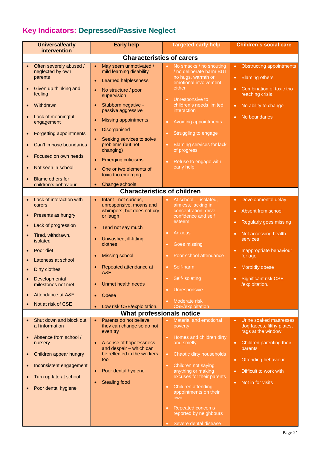### **Key Indicators: Depressed/Passive Neglect**

|                        | <b>Universal/early</b><br>intervention                                                                                                                                                                                                                                     | <b>Early help</b>                                                                                                                                                                                                                                                                                                                                                                                                                  | <b>Targeted early help</b>                                                                                                                                                                                                                                                                                                                                                             | <b>Children's social care</b>                                                                                                                                                                                          |
|------------------------|----------------------------------------------------------------------------------------------------------------------------------------------------------------------------------------------------------------------------------------------------------------------------|------------------------------------------------------------------------------------------------------------------------------------------------------------------------------------------------------------------------------------------------------------------------------------------------------------------------------------------------------------------------------------------------------------------------------------|----------------------------------------------------------------------------------------------------------------------------------------------------------------------------------------------------------------------------------------------------------------------------------------------------------------------------------------------------------------------------------------|------------------------------------------------------------------------------------------------------------------------------------------------------------------------------------------------------------------------|
|                        | <b>Characteristics of carers</b>                                                                                                                                                                                                                                           |                                                                                                                                                                                                                                                                                                                                                                                                                                    |                                                                                                                                                                                                                                                                                                                                                                                        |                                                                                                                                                                                                                        |
| $\bullet$              | Often severely abused /<br>neglected by own<br>parents<br>Given up thinking and<br>feeling<br>Withdrawn<br>Lack of meaningful<br>engagement<br>Forgetting appointments<br>Can't impose boundaries<br>Focused on own needs<br>Not seen in school<br><b>Blame others for</b> | May seem unmotivated /<br>$\bullet$<br>mild learning disability<br><b>Learned helplessness</b><br>$\bullet$<br>No structure / poor<br>$\bullet$<br>supervision<br>Stubborn negative -<br>$\bullet$<br>passive aggressive<br><b>Missing appointments</b><br>Disorganised<br>Seeking services to solve<br>problems (but not<br>changing)<br><b>Emerging criticisms</b><br>$\bullet$<br>One or two elements of<br>toxic trio emerging | No smacks / no shouting<br>$\bullet$<br>/ no deliberate harm BUT<br>no hugs, warmth or<br>emotional involvement<br>either<br>Unresponsive to<br>$\bullet$<br>children's needs limited<br>interaction<br>Avoiding appointments<br>$\bullet$<br>Struggling to engage<br>$\bullet$<br><b>Blaming services for lack</b><br>$\bullet$<br>of progress<br>Refuse to engage with<br>early help | <b>Obstructing appointments</b><br>$\bullet$<br><b>Blaming others</b><br>$\bullet$<br>Combination of toxic trio<br>$\bullet$<br>reaching crisis<br>No ability to change<br>$\bullet$<br>No boundaries                  |
|                        | children's behaviour                                                                                                                                                                                                                                                       | Change schools<br>$\bullet$                                                                                                                                                                                                                                                                                                                                                                                                        |                                                                                                                                                                                                                                                                                                                                                                                        |                                                                                                                                                                                                                        |
|                        |                                                                                                                                                                                                                                                                            | <b>Characteristics of children</b>                                                                                                                                                                                                                                                                                                                                                                                                 |                                                                                                                                                                                                                                                                                                                                                                                        |                                                                                                                                                                                                                        |
|                        | Lack of interaction with<br>carers<br>Presents as hungry<br>Lack of progression<br>Tired, withdrawn,<br>isolated<br>Poor diet<br>Lateness at school<br>Dirty clothes<br>Developmental<br>milestones not met<br>Attendance at A&E<br>Not at risk of CSE                     | Infant - not curious,<br>$\bullet$<br>unresponsive, moans and<br>whimpers, but does not cry<br>or laugh<br>Tend not say much<br>$\bullet$<br>Unwashed, ill-fitting<br>$\bullet$<br>clothes<br><b>Missing school</b><br>$\bullet$<br>Repeated attendance at<br>A&E<br><b>Unmet health needs</b><br>$\bullet$<br><b>Obese</b><br>$\bullet$                                                                                           | At school - isolated,<br>$\bullet$<br>aimless, lacking in<br>concentration, drive,<br>confidence and self<br>esteem<br><b>Anxious</b><br>$\bullet$<br>Goes missing<br>$\bullet$<br>Poor school attendance<br>Self-harm<br>$\bullet$<br>Self-isolating<br>$\bullet$<br>Unresponsive<br>$\bullet$<br>Moderate risk<br>$\bullet$                                                          | Developmental delay<br>$\bullet$<br>Absent from school<br>Regularly goes missing<br>Not accessing health<br>services<br>Inappropriate behaviour<br>for age<br>Morbidly obese<br>Significant risk CSE<br>/exploitation. |
|                        |                                                                                                                                                                                                                                                                            | Low risk CSE/exploitation.<br><b>What professionals notice</b>                                                                                                                                                                                                                                                                                                                                                                     | <b>CSE/exploitation</b>                                                                                                                                                                                                                                                                                                                                                                |                                                                                                                                                                                                                        |
|                        | Shut down and block out                                                                                                                                                                                                                                                    | Parents do not believe<br>$\bullet$                                                                                                                                                                                                                                                                                                                                                                                                | <b>Material and emotional</b><br>$\bullet$                                                                                                                                                                                                                                                                                                                                             | Urine soaked mattresses<br>$\bullet$                                                                                                                                                                                   |
| $\bullet$<br>$\bullet$ | all information<br>Absence from school /<br>nursery<br>Children appear hungry<br>Inconsistent engagement<br>Turn up late at school<br>Poor dental hygiene                                                                                                                  | they can change so do not<br>even try<br>A sense of hopelessness<br>and despair - which can<br>be reflected in the workers<br>too<br>Poor dental hygiene<br><b>Stealing food</b>                                                                                                                                                                                                                                                   | poverty<br>Homes and children dirty<br>and smelly<br>Chaotic dirty households<br>$\bullet$<br>Children not saying<br>$\bullet$<br>anything or making<br>excuses for their parents<br>Children attending<br>$\bullet$<br>appointments on their<br>own<br><b>Repeated concerns</b><br>$\bullet$<br>reported by neighbours                                                                | dog faeces, filthy plates,<br>rags at the window<br>Children parenting their<br>$\bullet$<br>parents<br>Offending behaviour<br>$\bullet$<br>Difficult to work with<br>Not in for visits<br>$\bullet$                   |
|                        |                                                                                                                                                                                                                                                                            |                                                                                                                                                                                                                                                                                                                                                                                                                                    | Severe dental disease<br>$\bullet$                                                                                                                                                                                                                                                                                                                                                     |                                                                                                                                                                                                                        |